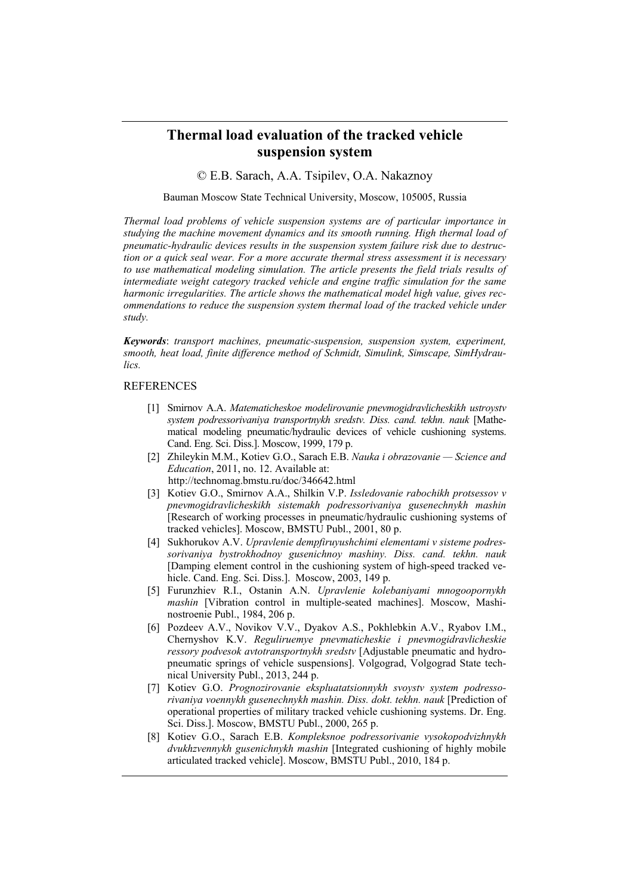## **Thermal load evaluation of the tracked vehicle suspension system**

© E.B. Sarach, A.A. Tsipilev, O.A. Nakaznoy

Bauman Moscow State Technical University, Moscow, 105005, Russia

*Thermal load problems of vehicle suspension systems are of particular importance in studying the machine movement dynamics and its smooth running. High thermal load of pneumatic-hydraulic devices results in the suspension system failure risk due to destruction or a quick seal wear. For a more accurate thermal stress assessment it is necessary to use mathematical modeling simulation. The article presents the field trials results of intermediate weight category tracked vehicle and engine traffic simulation for the same harmonic irregularities. The article shows the mathematical model high value, gives recommendations to reduce the suspension system thermal load of the tracked vehicle under study.* 

*Keywords*: *transport machines, pneumatic-suspension, suspension system, experiment, smooth, heat load, finite difference method of Schmidt, Simulink, Simscape, SimHydraulics.* 

## **REFERENCES**

- Smirnov A.A. *Matematicheskoe modelirovanie pnevmogidravlicheskikh ustroystv system podressorivaniya transportnykh sredstv. Diss. cand. tekhn. nauk* [Mathematical modeling pneumatic/hydraulic devices of vehicle cushioning systems. Cand. Eng. Sci. Diss.]. Moscow, 1999, 179 p.
- Zhileykin M.M., Kotiev G.O., Sarach E.B. *Nauka i obrazovanie Science and Education*, 2011, no. 12. Available at: http://technomag.bmstu.ru/doc/346642.html
- Kotiev G.O., Smirnov A.A., Shilkin V.P. *Issledovanie rabochikh protsessov v pnevmogidravlicheskikh sistemakh podressorivaniya gusenechnykh mashin* [Research of working processes in pneumatic/hydraulic cushioning systems of tracked vehicles]. Moscow, BMSTU Publ., 2001, 80 p.
- Sukhorukov A.V. *Upravlenie dempfiruyushchimi elementami v sisteme podressorivaniya bystrokhodnoy gusenichnoy mashiny. Diss. cand. tekhn. nauk* [Damping element control in the cushioning system of high-speed tracked vehicle. Cand. Eng. Sci. Diss.]. Moscow, 2003, 149 p.
- Furunzhiev R.I., Ostanin A.N. *Upravlenie kolebaniyami mnogoopornykh mashin* [Vibration control in multiple-seated machines]. Moscow, Mashinostroenie Publ., 1984, 206 p.
- Pozdeev A.V., Novikov V.V., Dyakov A.S., Pokhlebkin A.V., Ryabov I.M., Chernyshov K.V. *Reguliruemye pnevmaticheskie i pnevmogidravlicheskie ressory podvesok avtotransportnykh sredstv* [Adjustable pneumatic and hydropneumatic springs of vehicle suspensions]. Volgograd, Volgograd State technical University Publ., 2013, 244 p.
- [7] Kotiev G.O. Prognozirovanie ekspluatatsionnykh svoystv system podresso*rivaniya voennykh gusenechnykh mashin. Diss. dokt. tekhn. nauk* [Prediction of operational properties of military tracked vehicle cushioning systems. Dr. Eng. Sci. Diss.]. Moscow, BMSTU Publ., 2000, 265 p.
- Kotiev G.O., Sarach E.B. *Kompleksnoe podressorivanie vysokopodvizhnykh dvukhzvennykh gusenichnykh mashin* [Integrated cushioning of highly mobile articulated tracked vehicle]. Moscow, BMSTU Publ., 2010, 184 p.